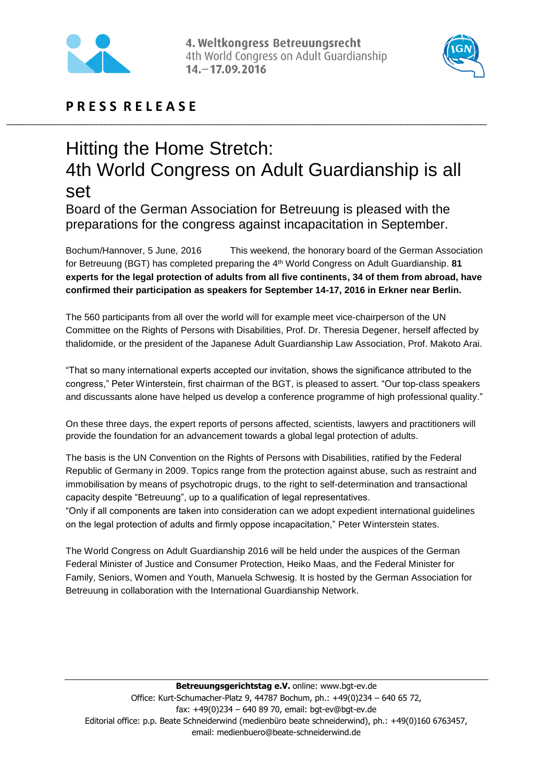



## **P R E S S R E L E A S E**

## Hitting the Home Stretch: 4th World Congress on Adult Guardianship is all set

\_\_\_\_\_\_\_\_\_\_\_\_\_\_\_\_\_\_\_\_\_\_\_\_\_\_\_\_\_\_\_\_\_\_\_\_\_\_\_\_\_\_\_\_\_\_\_\_\_\_\_\_\_\_\_\_\_\_\_\_\_\_\_\_\_\_\_\_\_\_\_\_\_\_\_\_\_\_\_\_\_\_\_\_\_\_\_\_\_\_\_\_\_\_\_\_\_\_\_\_\_\_\_\_

Board of the German Association for Betreuung is pleased with the preparations for the congress against incapacitation in September.

Bochum/Hannover, 5 June, 2016 This weekend, the honorary board of the German Association for Betreuung (BGT) has completed preparing the 4th World Congress on Adult Guardianship. **81 experts for the legal protection of adults from all five continents, 34 of them from abroad, have confirmed their participation as speakers for September 14-17, 2016 in Erkner near Berlin.**

The 560 participants from all over the world will for example meet vice-chairperson of the UN Committee on the Rights of Persons with Disabilities, Prof. Dr. Theresia Degener, herself affected by thalidomide, or the president of the Japanese Adult Guardianship Law Association, Prof. Makoto Arai.

"That so many international experts accepted our invitation, shows the significance attributed to the congress," Peter Winterstein, first chairman of the BGT, is pleased to assert. "Our top-class speakers and discussants alone have helped us develop a conference programme of high professional quality."

On these three days, the expert reports of persons affected, scientists, lawyers and practitioners will provide the foundation for an advancement towards a global legal protection of adults.

The basis is the UN Convention on the Rights of Persons with Disabilities, ratified by the Federal Republic of Germany in 2009. Topics range from the protection against abuse, such as restraint and immobilisation by means of psychotropic drugs, to the right to self-determination and transactional capacity despite "Betreuung", up to a qualification of legal representatives.

"Only if all components are taken into consideration can we adopt expedient international guidelines on the legal protection of adults and firmly oppose incapacitation," Peter Winterstein states.

The World Congress on Adult Guardianship 2016 will be held under the auspices of the German Federal Minister of Justice and Consumer Protection, Heiko Maas, and the Federal Minister for Family, Seniors, Women and Youth, Manuela Schwesig. It is hosted by the German Association for Betreuung in collaboration with the International Guardianship Network.